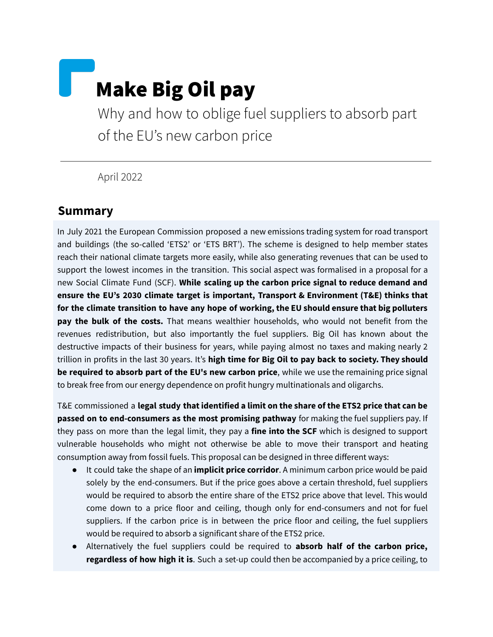# Make Big Oil pay

Why and how to oblige fuel suppliers to absorb part of the EU's new carbon price

April 2022

#### **Summary**

In July 2021 the European Commission proposed a new emissions trading system for road transport and buildings (the so-called 'ETS2' or 'ETS BRT'). The scheme is designed to help member states reach their national climate targets more easily, while also generating revenues that can be used to support the lowest incomes in the transition. This social aspect was formalised in a proposal for a new Social Climate Fund (SCF). **While scaling up the carbon price signal to reduce demand and ensure the EU's 2030 climate target is important, Transport & Environment (T&E) thinks that for the climate transition to have any hope of working, the EU should ensure that big polluters pay the bulk of the costs.** That means wealthier households, who would not benefit from the revenues redistribution, but also importantly the fuel suppliers. Big Oil has known about the destructive impacts of their business for years, while paying almost no taxes and making nearly 2 trillion in profits in the last 30 years. It's **high time for Big Oil to pay back to society. They should be required to absorb part of the EU's new carbon price**, while we use the remaining price signal to break free from our energy dependence on profit hungry multinationals and oligarchs.

T&E commissioned a **legal study that identified a limit on the share of the ETS2 price that can be passed on to end-consumers as the most promising pathway** for making the fuel suppliers pay. If they pass on more than the legal limit, they pay a **fine into the SCF** which is designed to support vulnerable households who might not otherwise be able to move their transport and heating consumption away from fossil fuels. This proposal can be designed in three different ways:

- It could take the shape of an **implicit price corridor**. A minimum carbon price would be paid solely by the end-consumers. But if the price goes above a certain threshold, fuel suppliers would be required to absorb the entire share of the ETS2 price above that level. This would come down to a price floor and ceiling, though only for end-consumers and not for fuel suppliers. If the carbon price is in between the price floor and ceiling, the fuel suppliers would be required to absorb a significant share of the ETS2 price.
- Alternatively the fuel suppliers could be required to **absorb half of the carbon price, regardless of how high it is**. Such a set-up could then be accompanied by a price ceiling, to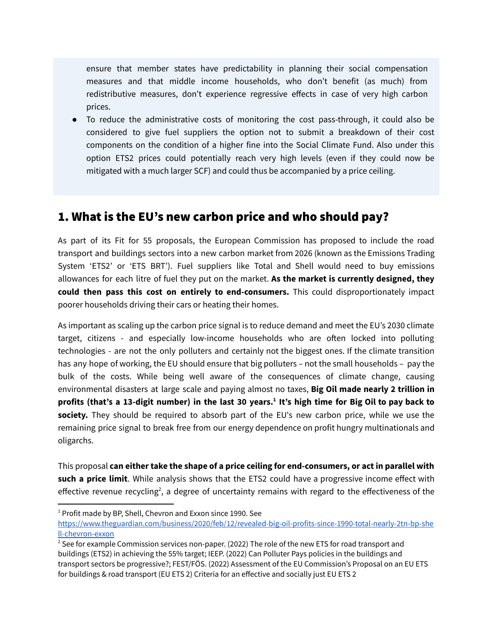ensure that member states have predictability in planning their social compensation measures and that middle income households, who don't benefit (as much) from redistributive measures, don't experience regressive effects in case of very high carbon prices.

● To reduce the administrative costs of monitoring the cost pass-through, it could also be considered to give fuel suppliers the option not to submit a breakdown of their cost components on the condition of a higher fine into the Social Climate Fund. Also under this option ETS2 prices could potentially reach very high levels (even if they could now be mitigated with a much larger SCF) and could thus be accompanied by a price ceiling.

## 1. What is the EU's new carbon price and who should pay?

As part of its Fit for 55 proposals, the European Commission has proposed to include the road transport and buildings sectors into a new carbon market from 2026 (known as the Emissions Trading System 'ETS2' or 'ETS BRT'). Fuel suppliers like Total and Shell would need to buy emissions allowances for each litre of fuel they put on the market. **As the market is currently designed, they could then pass this cost on entirely to end-consumers.** This could disproportionately impact poorer households driving their cars or heating their homes.

As important as scaling up the carbon price signal is to reduce demand and meet the EU's 2030 climate target, citizens - and especially low-income households who are often locked into polluting technologies - are not the only polluters and certainly not the biggest ones. If the climate transition has any hope of working, the EU should ensure that big polluters – not the small households – pay the bulk of the costs. While being well aware of the consequences of climate change, causing environmental disasters at large scale and paying almost no taxes, **Big Oil made nearly 2 trillion in** profits (that's a 13-digit number) in the last 30 years.<sup>1</sup> It's high time for Big Oil to pay back to **society.** They should be required to absorb part of the EU's new carbon price, while we use the remaining price signal to break free from our energy dependence on profit hungry multinationals and oligarchs.

This proposal **can either take the shape of a price ceiling for end-consumers, or act in parallel with such a price limit**. While analysis shows that the ETS2 could have a progressive income effect with effective revenue recycling<sup>2</sup>, a degree of uncertainty remains with regard to the effectiveness of the

 $1$  Profit made by BP, Shell, Chevron and Exxon since 1990. See

[https://www.theguardian.com/business/2020/feb/12/revealed-big-oil-profits-since-1990-total-nearly-2tn-bp-she](https://www.theguardian.com/business/2020/feb/12/revealed-big-oil-profits-since-1990-total-nearly-2tn-bp-shell-chevron-exxon) [ll-chevron-exxon](https://www.theguardian.com/business/2020/feb/12/revealed-big-oil-profits-since-1990-total-nearly-2tn-bp-shell-chevron-exxon)

 $2$  See for example Commission services non-paper. (2022) The role of the new ETS for road transport and buildings (ETS2) in achieving the 55% target; IEEP. (2022) Can Polluter Pays policies in the buildings and transport sectors be progressive?; FEST/FÖS. (2022) Assessment of the EU Commission's Proposal on an EU ETS for buildings & road transport (EU ETS 2) Criteria for an effective and socially just EU ETS 2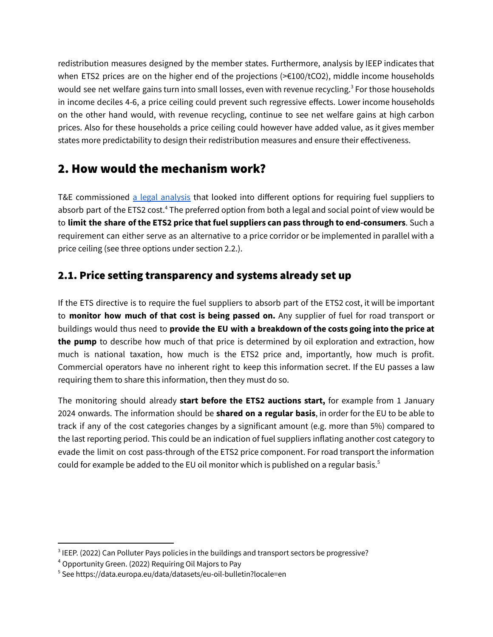redistribution measures designed by the member states. Furthermore, analysis by IEEP indicates that when ETS2 prices are on the higher end of the projections (>€100/tCO2), middle income households would see net welfare gains turn into small losses, even with revenue recycling. <sup>3</sup> For those households in income deciles 4-6, a price ceiling could prevent such regressive effects. Lower income households on the other hand would, with revenue recycling, continue to see net welfare gains at high carbon prices. Also for these households a price ceiling could however have added value, as it gives member states more predictability to design their redistribution measures and ensure their effectiveness.

# 2. How would the mechanism work?

T&E commissioned a legal [analysis](https://transenv.eu/3sC320W) that looked into different options for requiring fuel suppliers to absorb part of the ETS2 cost. <sup>4</sup> The preferred option from both a legal and social point of view would be to **limit the share of the ETS2 price that fuel suppliers can pass through to end-consumers**. Such a requirement can either serve as an alternative to a price corridor or be implemented in parallel with a price ceiling (see three options under section 2.2.).

### 2.1. Price setting transparency and systems already set up

If the ETS directive is to require the fuel suppliers to absorb part of the ETS2 cost, it will be important to **monitor how much of that cost is being passed on.** Any supplier of fuel for road transport or buildings would thus need to **provide the EU with a breakdown of the costs going into the price at the pump** to describe how much of that price is determined by oil exploration and extraction, how much is national taxation, how much is the ETS2 price and, importantly, how much is profit. Commercial operators have no inherent right to keep this information secret. If the EU passes a law requiring them to share this information, then they must do so.

The monitoring should already **start before the ETS2 auctions start,** for example from 1 January 2024 onwards. The information should be **shared on a regular basis**, in order for the EU to be able to track if any of the cost categories changes by a significant amount (e.g. more than 5%) compared to the last reporting period. This could be an indication of fuel suppliers inflating another cost category to evade the limit on cost pass-through of the ETS2 price component. For road transport the information could for example be added to the EU oil monitor which is published on a regular basis. 5

 $^3$  IEEP. (2022) Can Polluter Pays policies in the buildings and transport sectors be progressive?

<sup>4</sup> Opportunity Green. (2022) Requiring Oil Majors to Pay

<sup>5</sup> See https://data.europa.eu/data/datasets/eu-oil-bulletin?locale=en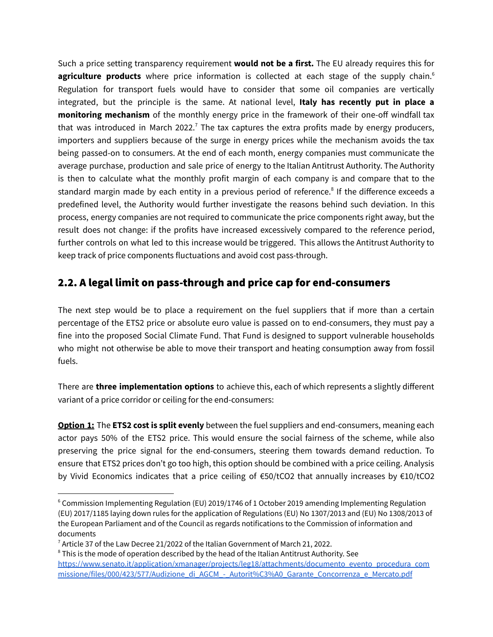Such a price setting transparency requirement **would not be a first.** The EU already requires this for agriculture products where price information is collected at each stage of the supply chain.<sup>6</sup> Regulation for transport fuels would have to consider that some oil companies are vertically integrated, but the principle is the same. At national level, **Italy has recently put in place a monitoring mechanism** of the monthly energy price in the framework of their one-off windfall tax that was introduced in March 2022.<sup>7</sup> The tax captures the extra profits made by energy producers, importers and suppliers because of the surge in energy prices while the mechanism avoids the tax being passed-on to consumers. At the end of each month, energy companies must communicate the average purchase, production and sale price of energy to the Italian Antitrust Authority. The Authority is then to calculate what the monthly profit margin of each company is and compare that to the standard margin made by each entity in a previous period of reference.<sup>8</sup> If the difference exceeds a predefined level, the Authority would further investigate the reasons behind such deviation. In this process, energy companies are not required to communicate the price components right away, but the result does not change: if the profits have increased excessively compared to the reference period, further controls on what led to this increase would be triggered. This allows the Antitrust Authority to keep track of price components fluctuations and avoid cost pass-through.

#### 2.2. A legal limit on pass-through and price cap for end-consumers

The next step would be to place a requirement on the fuel suppliers that if more than a certain percentage of the ETS2 price or absolute euro value is passed on to end-consumers, they must pay a fine into the proposed Social Climate Fund. That Fund is designed to support vulnerable households who might not otherwise be able to move their transport and heating consumption away from fossil fuels.

There are **three implementation options** to achieve this, each of which represents a slightly different variant of a price corridor or ceiling for the end-consumers:

**Option 1:** The **ETS2 cost is split evenly** between the fuel suppliers and end-consumers, meaning each actor pays 50% of the ETS2 price. This would ensure the social fairness of the scheme, while also preserving the price signal for the end-consumers, steering them towards demand reduction. To ensure that ETS2 prices don't go too high, this option should be combined with a price ceiling. Analysis by Vivid Economics indicates that a price ceiling of €50/tCO2 that annually increases by €10/tCO2

 $6$  Commission Implementing Regulation (EU) 2019/1746 of 1 October 2019 amending Implementing Regulation (EU) 2017/1185 laying down rules for the application of Regulations (EU) No 1307/2013 and (EU) No 1308/2013 of the European Parliament and of the Council as regards notifications to the Commission of information and documents

 $7$  Article 37 of the Law Decree 21/2022 of the Italian Government of March 21, 2022.

<sup>&</sup>lt;sup>8</sup> This is the mode of operation described by the head of the Italian Antitrust Authority. See [https://www.senato.it/application/xmanager/projects/leg18/attachments/documento\\_evento\\_procedura\\_com](https://www.senato.it/application/xmanager/projects/leg18/attachments/documento_evento_procedura_commissione/files/000/423/577/Audizione_di_AGCM_-_Autorit%C3%A0_Garante_Concorrenza_e_Mercato.pdf) [missione/files/000/423/577/Audizione\\_di\\_AGCM\\_-\\_Autorit%C3%A0\\_Garante\\_Concorrenza\\_e\\_Mercato.pdf](https://www.senato.it/application/xmanager/projects/leg18/attachments/documento_evento_procedura_commissione/files/000/423/577/Audizione_di_AGCM_-_Autorit%C3%A0_Garante_Concorrenza_e_Mercato.pdf)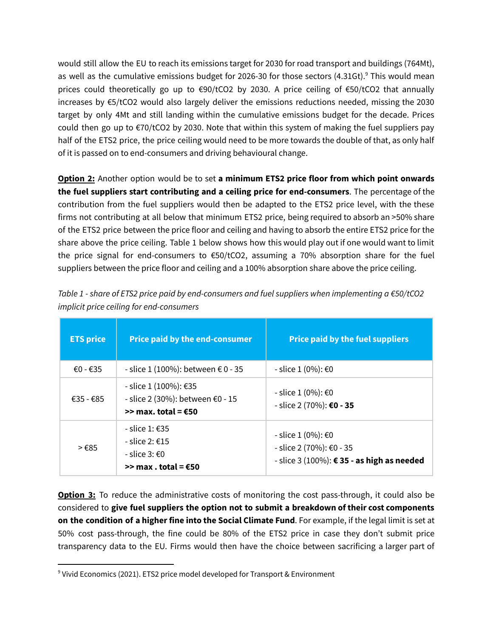would still allow the EU to reach its emissions target for 2030 for road transport and buildings (764Mt), as well as the cumulative emissions budget for 2026-30 for those sectors (4.31Gt).<sup>9</sup> This would mean prices could theoretically go up to €90/tCO2 by 2030. A price ceiling of €50/tCO2 that annually increases by €5/tCO2 would also largely deliver the emissions reductions needed, missing the 2030 target by only 4Mt and still landing within the cumulative emissions budget for the decade. Prices could then go up to  $\epsilon$ 70/tCO2 by 2030. Note that within this system of making the fuel suppliers pay half of the ETS2 price, the price ceiling would need to be more towards the double of that, as only half of it is passed on to end-consumers and driving behavioural change.

**Option 2:** Another option would be to set **a minimum ETS2 price floor from which point onwards the fuel suppliers start contributing and a ceiling price for end-consumers**. The percentage of the contribution from the fuel suppliers would then be adapted to the ETS2 price level, with the these firms not contributing at all below that minimum ETS2 price, being required to absorb an >50% share of the ETS2 price between the price floor and ceiling and having to absorb the entire ETS2 price for the share above the price ceiling. Table 1 below shows how this would play out if one would want to limit the price signal for end-consumers to €50/tCO2, assuming a 70% absorption share for the fuel suppliers between the price floor and ceiling and a 100% absorption share above the price ceiling.

| <b>ETS price</b> | <b>Price paid by the end-consumer</b>                                              | <b>Price paid by the fuel suppliers</b>                                                      |
|------------------|------------------------------------------------------------------------------------|----------------------------------------------------------------------------------------------|
| €0 - €35         | - slice 1 (100%): between € 0 - 35                                                 | - slice 1 (0%): €0                                                                           |
| €35 - €85        | - slice 1 (100%): €35<br>- slice 2 (30%): between €0 - 15<br>>> max. total = $€50$ | - slice 1 (0%): €0<br>- slice 2 (70%): €0 - 35                                               |
| $>\epsilon$ 85   | - slice 1: €35<br>$-$ slice 2: $£15$<br>- slice 3: €0<br>>> max . total = $€50$    | - slice 1 (0%): €0<br>- slice 2 (70%): €0 - 35<br>- slice 3 (100%): € 35 - as high as needed |

*Table 1 - share of ETS2 price paid by end-consumers and fuel suppliers when implementing a €50/tCO2 implicit price ceiling for end-consumers*

**Option 3:** To reduce the administrative costs of monitoring the cost pass-through, it could also be considered to **give fuel suppliers the option not to submit a breakdown of their cost components on the condition of a higher fine into the Social Climate Fund**. For example, if the legal limit is set at 50% cost pass-through, the fine could be 80% of the ETS2 price in case they don't submit price transparency data to the EU. Firms would then have the choice between sacrificing a larger part of

 $9$  Vivid Economics (2021). ETS2 price model developed for Transport & Environment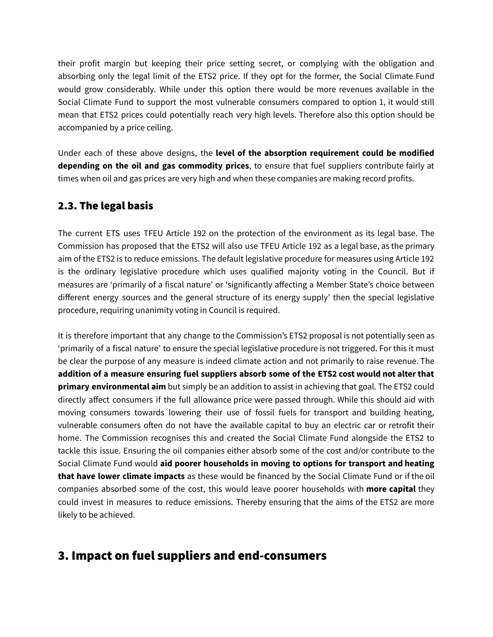their profit margin but keeping their price setting secret, or complying with the obligation and absorbing only the legal limit of the ETS2 price. If they opt for the former, the Social Climate Fund would grow considerably. While under this option there would be more revenues available in the Social Climate Fund to support the most vulnerable consumers compared to option 1, it would still mean that ETS2 prices could potentially reach very high levels. Therefore also this option should be accompanied by a price ceiling.

Under each of these above designs, the **level of the absorption requirement could be modified depending on the oil and gas commodity prices**, to ensure that fuel suppliers contribute fairly at times when oil and gas prices are very high and when these companies are making record profits.

#### 2.3. The legal basis

The current ETS uses TFEU Article 192 on the protection of the environment as its legal base. The Commission has proposed that the ETS2 will also use TFEU Article 192 as a legal base, as the primary aim of the ETS2 is to reduce emissions. The default legislative procedure for measures using Article 192 is the ordinary legislative procedure which uses qualified majority voting in the Council. But if measures are 'primarily of a fiscal nature' or 'significantly affecting a Member State's choice between different energy sources and the general structure of its energy supply' then the special legislative procedure, requiring unanimity voting in Council is required.

It is therefore important that any change to the Commission's ETS2 proposal is not potentially seen as 'primarily of a fiscal nature' to ensure the special legislative procedure is not triggered. For this it must be clear the purpose of any measure is indeed climate action and not primarily to raise revenue. The **addition of a measure ensuring fuel suppliers absorb some of the ETS2 cost would not alter that primary environmental aim** but simply be an addition to assist in achieving that goal. The ETS2 could directly affect consumers if the full allowance price were passed through. While this should aid with moving consumers towards lowering their use of fossil fuels for transport and building heating, vulnerable consumers often do not have the available capital to buy an electric car or retrofit their home. The Commission recognises this and created the Social Climate Fund alongside the ETS2 to tackle this issue. Ensuring the oil companies either absorb some of the cost and/or contribute to the Social Climate Fund would **aid poorer households in moving to options for transport and heating that have lower climate impacts** as these would be financed by the Social Climate Fund or if the oil companies absorbed some of the cost, this would leave poorer households with **more capital** they could invest in measures to reduce emissions. Thereby ensuring that the aims of the ETS2 are more likely to be achieved.

# 3. Impact on fuel suppliers and end-consumers